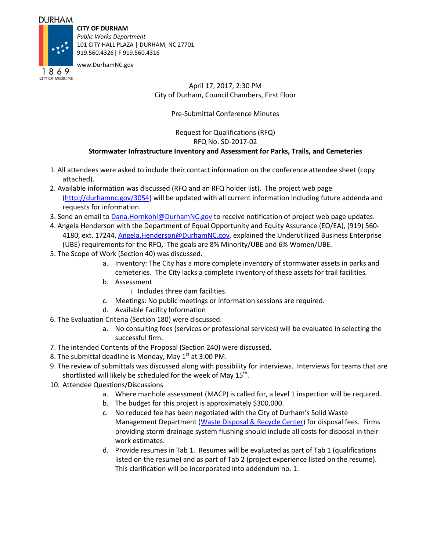#### **DURHAM**

**CITY OF DURHAM** *Public Works Department*

101 CITY HALL PLAZA | DURHAM, NC 27701 919.560.4326| F 919.560.4316

www.DurhamNC.gov

1869 CITY OF MEDICINE

April 17, 2017, 2:30 PM City of Durham, Council Chambers, First Floor

Pre-Submittal Conference Minutes

#### Request for Qualifications (RFQ) RFQ No. SD-2017-02

#### **Stormwater Infrastructure Inventory and Assessment for Parks, Trails, and Cemeteries**

- 1. All attendees were asked to include their contact information on the conference attendee sheet (copy attached).
- 2. Available information was discussed (RFQ and an RFQ holder list). The project web page (http://durhamnc.gov/3054) will be updated with all current information including future addenda and requests for information.
- 3. Send an email to Dana. Hornkohl@DurhamNC.gov to receive notification of project web page updates.
- 4. Angela Henderson with the Department of Equal Opportunity and Equity Assurance (EO/EA), (919) 560- 4180, ext. 17244, Angela.Henderson@DurhamNC.gov, explained the Underutilized Business Enterprise (UBE) requirements for the RFQ. The goals are 8% Minority/UBE and 6% Women/UBE.
- 5. The Scope of Work (Section 40) was discussed.
	- a. Inventory: The City has a more complete inventory of stormwater assets in parks and cemeteries. The City lacks a complete inventory of these assets for trail facilities.
	- b. Assessment
		- i. Includes three dam facilities.
	- c. Meetings: No public meetings or information sessions are required.
	- d. Available Facility Information
- 6. The Evaluation Criteria (Section 180) were discussed.
	- a. No consulting fees (services or professional services) will be evaluated in selecting the successful firm.
- 7. The intended Contents of the Proposal (Section 240) were discussed.
- 8. The submittal deadline is Monday, May  $1<sup>st</sup>$  at 3:00 PM.
- 9. The review of submittals was discussed along with possibility for interviews. Interviews for teams that are shortlisted will likely be scheduled for the week of May  $15^{th}$ .
- 10. Attendee Questions/Discussions
	- a. Where manhole assessment (MACP) is called for, a level 1 inspection will be required.
	- b. The budget for this project is approximately \$300,000.
	- c. No reduced fee has been negotiated with the City of Durham's Solid Waste Management Department (Waste Disposal & Recycle Center) for disposal fees. Firms providing storm drainage system flushing should include all costs for disposal in their work estimates.
	- d. Provide resumes in Tab 1. Resumes will be evaluated as part of Tab 1 (qualifications listed on the resume) and as part of Tab 2 (project experience listed on the resume). This clarification will be incorporated into addendum no. 1.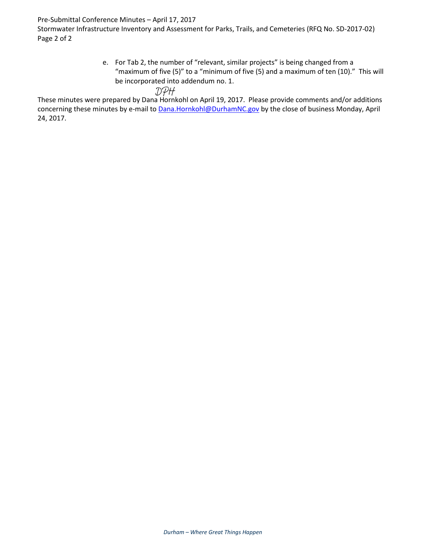Pre-Submittal Conference Minutes – April 17, 2017

Stormwater Infrastructure Inventory and Assessment for Parks, Trails, and Cemeteries (RFQ No. SD-2017-02) Page 2 of 2

> e. For Tab 2, the number of "relevant, similar projects" is being changed from a "maximum of five (5)" to a "minimum of five (5) and a maximum of ten (10)." This will be incorporated into addendum no. 1.

 $\mathcal{DPH}$ <br>These minutes were prepared by Dana Hornkohl on April 19, 2017. Please provide comments and/or additions concerning these minutes by e-mail to **Dana.Hornkohl@DurhamNC.gov** by the close of business Monday, April 24, 2017.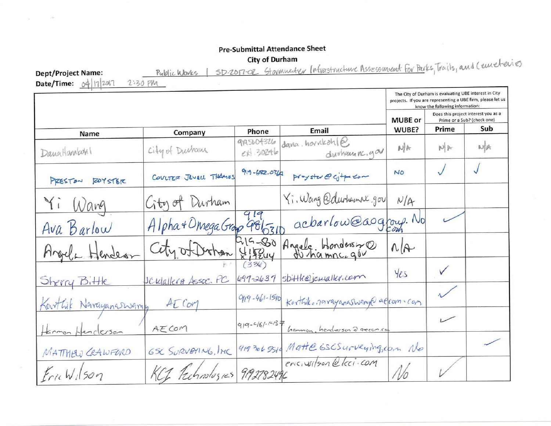# **Pre-Submittal Attendance Sheet**

SD-2017-02 Stormunder Infrastructure Assessment For Parks, Trails, and Centeriores **City of Durham** 

| <b>Date/lime:</b> $04$<br>5.30111 |                           |                        | The City of Durham is evaluating UBE interest in City<br>projects. If you are representing a UBE firm, please let us<br>know the following information: |                |                                                                    |     |
|-----------------------------------|---------------------------|------------------------|---------------------------------------------------------------------------------------------------------------------------------------------------------|----------------|--------------------------------------------------------------------|-----|
|                                   |                           |                        |                                                                                                                                                         | <b>MUBE or</b> | Does this project interest you as a<br>Prime or a Sub? (check one) |     |
| Name                              | Company                   | Phone                  | Email                                                                                                                                                   | WUBE?          | Prime                                                              | Sub |
| DanaHankohl                       | City of Durham            | 9195604326<br>CH 30296 | dana. hovnkohle<br>durhamm.gov                                                                                                                          | N/k            | N                                                                  | 同兵  |
| PRESTON<br>704576R                | COVLTER JOVELL THAMES     | 919-682.0362           | proyster@cjtpacom                                                                                                                                       | N <sub>O</sub> |                                                                    |     |
| Yi Wang                           | City of Durham            |                        | Yi, Wang @durhamax.gov                                                                                                                                  | N/A            |                                                                    |     |
| Ava Barlow                        | Alpha+Omega Group 9815310 |                        | acharlow@aogroup. No                                                                                                                                    |                |                                                                    |     |
| Angel Hendess                     | City of Drhan             |                        | 215-80 Angele Hondersino                                                                                                                                | $\Lambda$      |                                                                    |     |
| Sherry Bittle                     | JCklallera Assoc. PC      | $497 - 3437$           | sbittle@jcmaller.com                                                                                                                                    | Yes            |                                                                    |     |
| Kartlik Ngrayangswamy             | AE COM                    | $919 - 461 - 1510$     | Karthiko norrayanaswanya afcom. con                                                                                                                     |                |                                                                    |     |
|                                   | AE COM                    | $q_1q - 461 - 1437$    | Gamon, herderson 2 accor.com                                                                                                                            |                |                                                                    |     |
| MATTHEW CRAWFORD                  | GSC SURVEYING, INC        |                        | 4193065519 Matte GSCSurveying, com No                                                                                                                   |                |                                                                    |     |
| $k$ rk $W_1$ 1509                 | KCL Pechnologies          | 9192782496             | ericivilson Ckci.com                                                                                                                                    |                |                                                                    |     |

Dept/Project Name:<br>Pate/Time: Addudant  $7:2.8$   $700$ 

on

Public Works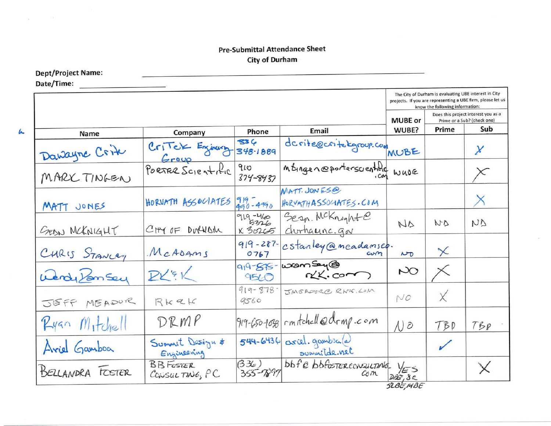### **Pre-Submittal Attendance Sheet City of Durham**

**Dept/Project Name:** 

Date/Time:

 $\sim 10^{-11}$ 

 $\overline{\mathbf{r}}$ 

|                  |                                       |                       |                                                         | The City of Durham is evaluating UBE interest in City<br>projects. If you are representing a UBE firm, please let us<br>know the following information: |                |                                                                    |
|------------------|---------------------------------------|-----------------------|---------------------------------------------------------|---------------------------------------------------------------------------------------------------------------------------------------------------------|----------------|--------------------------------------------------------------------|
|                  |                                       |                       |                                                         | <b>MUBE or</b>                                                                                                                                          |                | Does this project interest you as a<br>Prime or a Sub? (check one) |
| <b>Name</b>      | Company                               | Phone                 | Email                                                   | WUBE?                                                                                                                                                   | Prime          | Sub                                                                |
| Dankyne Crite    | CriTek Engineery<br>Group             | 336<br>348.1889       | de rite@critetgroup.com                                 |                                                                                                                                                         |                | χ                                                                  |
| MARX TINGEN      | PORTER SCIENTIFIC                     | 910<br>$374 - 8437$   | mingen@portersoentilig                                  | WUDE                                                                                                                                                    |                | X                                                                  |
| MATT JONES       | HORNATH ASSOCIATES                    | $99 - 490$            | MATT. JONESO<br>HORVATHASSOCIATES.COM                   |                                                                                                                                                         |                | $\times$                                                           |
| GEDN MCKNIGHT    | CHY OF DUCHAIN                        | 919-460<br>X 30265    | Sern. McKnighte<br><u>durhaunc.gov</u>                  | ND                                                                                                                                                      | N <sub>D</sub> | ND                                                                 |
| CHRIS STANLAY    | MCADAMS                               | $919 - 287 -$<br>0767 | cstanley @ meadamsco.                                   | $\mathcal{D}$                                                                                                                                           | $\times$       |                                                                    |
| Werdy Van Sey    | 224.51                                | $9.9 - 575 -$<br>9560 | $wamSey\circledcirc$<br>rk.com                          | PO                                                                                                                                                      |                |                                                                    |
| JEFF MEADOR      | RKQK                                  | $919 - 878$<br>9560   | JMGADORC RNK, LOM                                       | $N$ O                                                                                                                                                   | Χ              |                                                                    |
| Ryan Mitchell    | DRMP                                  |                       | 919-650-1098 mitchell@drmp.com                          | N                                                                                                                                                       | TBD            | Tsp                                                                |
| Ariel Gamboa     | Summert Design #<br>Engineering       | 544-6436              | ariel. gambra (a)<br>summitde.net                       |                                                                                                                                                         |                |                                                                    |
| BELLANDRA FOSTER | <b>BBFOSTER</b><br>$c$ cisul TING, PC | (336)<br>355-7897     | bbfe bbfosterconsulting.<br>$\mathcal{C}\!o\mathcal{m}$ | $DAS$ , $3c$<br>SLBENBE                                                                                                                                 |                | Χ                                                                  |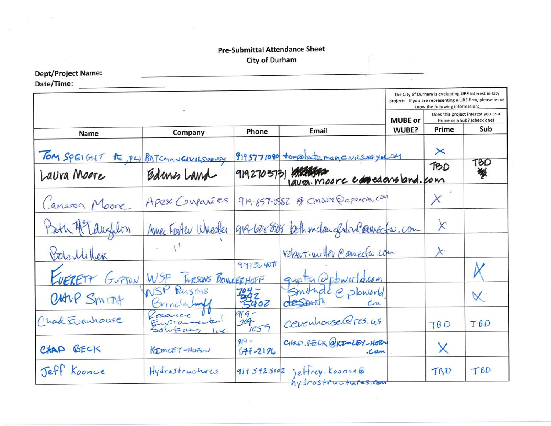### **Pre-Submittal Attendance Sheet City of Durham**

**Dept/Project Name:** 

Date/Time:

|                |                                        |                     |                                                       |       | The City of Durham is evaluating UBE interest in City<br>know the following information: | projects. If you are representing a UBE firm, please let us |
|----------------|----------------------------------------|---------------------|-------------------------------------------------------|-------|------------------------------------------------------------------------------------------|-------------------------------------------------------------|
|                |                                        |                     |                                                       |       | Does this project interest you as a<br>Prime or a Sub? (check one)                       |                                                             |
| Name           | Company                                | Phone               | Email                                                 | WUBE? | Prime                                                                                    | Sub                                                         |
| TOM SPEIGHT    | AE PLU BATEMANGIVILSURVEY              |                     | 9195771090 tomastemenchissery.com                     |       | $\times$                                                                                 |                                                             |
| Laura Moore    | Edmis Land                             |                     | 9192703731 1000000<br>lava. moore comedans land. com  |       | TBD                                                                                      | 7BO<br>敎                                                    |
| Cancon Moore   | Apex Confances                         |                     | 919-657-0882 & CMONE@apexcos.com                      |       | $\times$                                                                                 |                                                             |
| Both Margalin  | Amer Foster Wheeler                    |                     | 919-628-826 peth unclaughdon Camecta, com             |       | $\times$                                                                                 |                                                             |
| Bois Miller    |                                        |                     | Vehart-miller Cameda con                              |       | $\times$                                                                                 |                                                             |
| CUERETT GURTON | WSF TARSONS BRINGER HOFF               | 978364071           | quotar @power drom                                    |       |                                                                                          |                                                             |
| Out P SMITH    | NSP Raisons<br>Brinderhald             | $\frac{764}{5402}$  | Smondic e plowarla                                    |       |                                                                                          | $\mathsf{X}$                                                |
| Chad Evenhouse | Resource<br>Euvironmente<br>$50v$ frag | 919-<br>$209 - 79$  | Cevenhouse @rcs.us                                    |       | T <sub>B</sub> <sub>D</sub>                                                              | TBD                                                         |
| CHAP BECK      | KIMLEY-HOBIN                           | $919 -$<br>677-2196 | CHAD, BECK OKINIEY-HORN<br>CUM.                       |       | X                                                                                        |                                                             |
| Jeff Koonce    | Hydrostructures                        |                     | $9115425002$ jeffrey. Koonse@<br>hydrostructures, com |       | TRD                                                                                      | TBD                                                         |